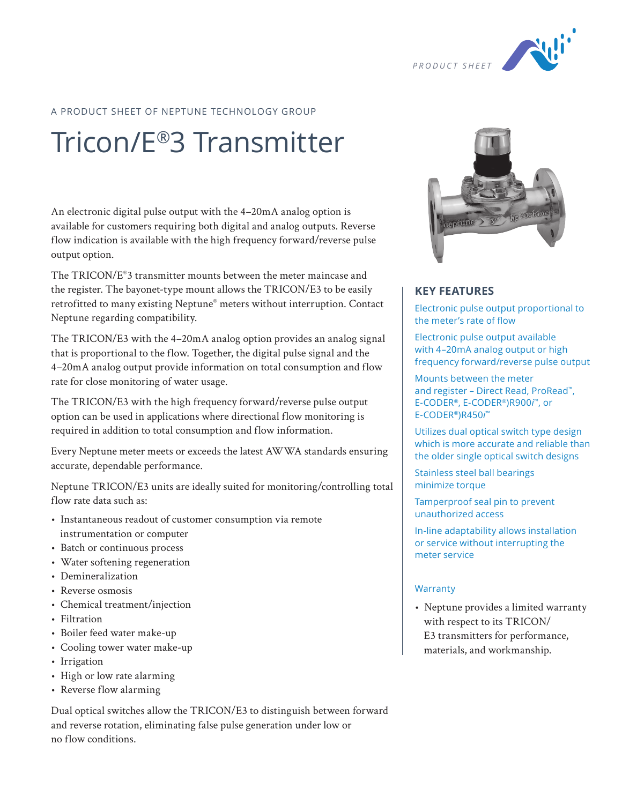

#### A PRODUCT SHEET OF NEPTUNE TECHNOLOGY GROUP

# Tricon/E®3 Transmitter

An electronic digital pulse output with the 4–20mA analog option is available for customers requiring both digital and analog outputs. Reverse flow indication is available with the high frequency forward/reverse pulse output option.

The TRICON/E®3 transmitter mounts between the meter maincase and the register. The bayonet-type mount allows the TRICON/E3 to be easily retrofitted to many existing Neptune® meters without interruption. Contact Neptune regarding compatibility.

The TRICON/E3 with the 4–20mA analog option provides an analog signal that is proportional to the flow. Together, the digital pulse signal and the 4–20mA analog output provide information on total consumption and flow rate for close monitoring of water usage.

The TRICON/E3 with the high frequency forward/reverse pulse output option can be used in applications where directional flow monitoring is required in addition to total consumption and flow information.

Every Neptune meter meets or exceeds the latest AWWA standards ensuring accurate, dependable performance.

Neptune TRICON/E3 units are ideally suited for monitoring/controlling total flow rate data such as:

- Instantaneous readout of customer consumption via remote instrumentation or computer
- Batch or continuous process
- Water softening regeneration
- Demineralization
- Reverse osmosis
- Chemical treatment/injection
- Filtration
- Boiler feed water make-up
- Cooling tower water make-up
- Irrigation
- High or low rate alarming
- Reverse flow alarming

Dual optical switches allow the TRICON/E3 to distinguish between forward and reverse rotation, eliminating false pulse generation under low or no flow conditions.



### **KEY FEATURES**

Electronic pulse output proportional to the meter's rate of flow

Electronic pulse output available with 4–20mA analog output or high frequency forward/reverse pulse output

Mounts between the meter and register – Direct Read, ProRead™, E-CODER®, E-CODER®)R900*i* ™, or E-CODER®)R450*i* ™

Utilizes dual optical switch type design which is more accurate and reliable than the older single optical switch designs

Stainless steel ball bearings minimize torque

Tamperproof seal pin to prevent unauthorized access

In-line adaptability allows installation or service without interrupting the meter service

#### **Warranty**

• Neptune provides a limited warranty with respect to its TRICON/ E3 transmitters for performance, materials, and workmanship.